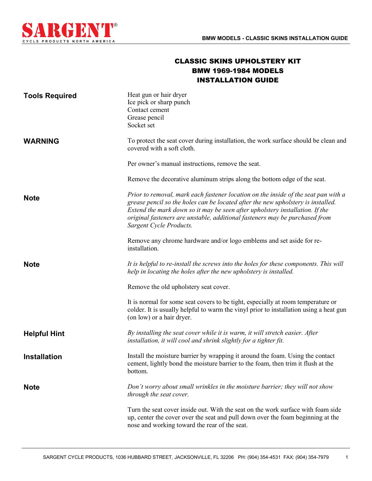

## CLASSIC SKINS UPHOLSTERY KIT BMW 1969-1984 MODELS INSTALLATION GUIDE

| <b>Tools Required</b> | Heat gun or hair dryer<br>Ice pick or sharp punch<br>Contact cement<br>Grease pencil<br>Socket set                                                                                                                                                                                                                                                               |
|-----------------------|------------------------------------------------------------------------------------------------------------------------------------------------------------------------------------------------------------------------------------------------------------------------------------------------------------------------------------------------------------------|
| <b>WARNING</b>        | To protect the seat cover during installation, the work surface should be clean and<br>covered with a soft cloth.                                                                                                                                                                                                                                                |
|                       | Per owner's manual instructions, remove the seat.                                                                                                                                                                                                                                                                                                                |
|                       | Remove the decorative aluminum strips along the bottom edge of the seat.                                                                                                                                                                                                                                                                                         |
| <b>Note</b>           | Prior to removal, mark each fastener location on the inside of the seat pan with a<br>grease pencil so the holes can be located after the new upholstery is installed.<br>Extend the mark down so it may be seen after upholstery installation. If the<br>original fasteners are unstable, additional fasteners may be purchased from<br>Sargent Cycle Products. |
|                       | Remove any chrome hardware and/or logo emblems and set aside for re-<br>installation.                                                                                                                                                                                                                                                                            |
| <b>Note</b>           | It is helpful to re-install the screws into the holes for these components. This will<br>help in locating the holes after the new upholstery is installed.                                                                                                                                                                                                       |
|                       | Remove the old upholstery seat cover.                                                                                                                                                                                                                                                                                                                            |
|                       | It is normal for some seat covers to be tight, especially at room temperature or<br>colder. It is usually helpful to warm the vinyl prior to installation using a heat gun<br>(on low) or a hair dryer.                                                                                                                                                          |
| <b>Helpful Hint</b>   | By installing the seat cover while it is warm, it will stretch easier. After<br>installation, it will cool and shrink slightly for a tighter fit.                                                                                                                                                                                                                |
| <b>Installation</b>   | Install the moisture barrier by wrapping it around the foam. Using the contact<br>cement, lightly bond the moisture barrier to the foam, then trim it flush at the<br>bottom.                                                                                                                                                                                    |
| <b>Note</b>           | Don't worry about small wrinkles in the moisture barrier; they will not show<br>through the seat cover.                                                                                                                                                                                                                                                          |
|                       | Turn the seat cover inside out. With the seat on the work surface with foam side<br>up, center the cover over the seat and pull down over the foam beginning at the<br>nose and working toward the rear of the seat.                                                                                                                                             |

1